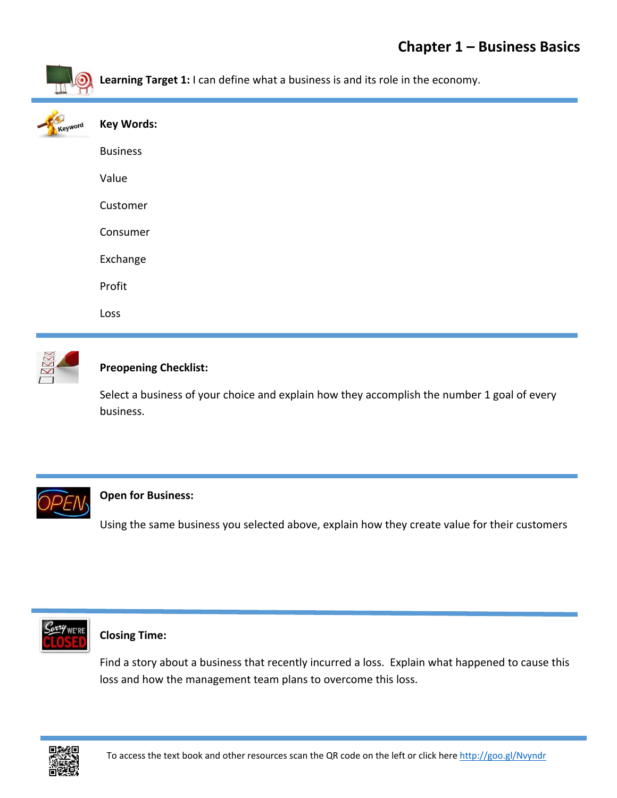



## **Preopening Checklist:**

Select a business of your choice and explain how they accomplish the number 1 goal of every business.



## **Open for Business:**

Using the same business you selected above, explain how they create value for their customers



### **Closing Time:**

Find a story about a business that recently incurred a loss. Explain what happened to cause this loss and how the management team plans to overcome this loss.

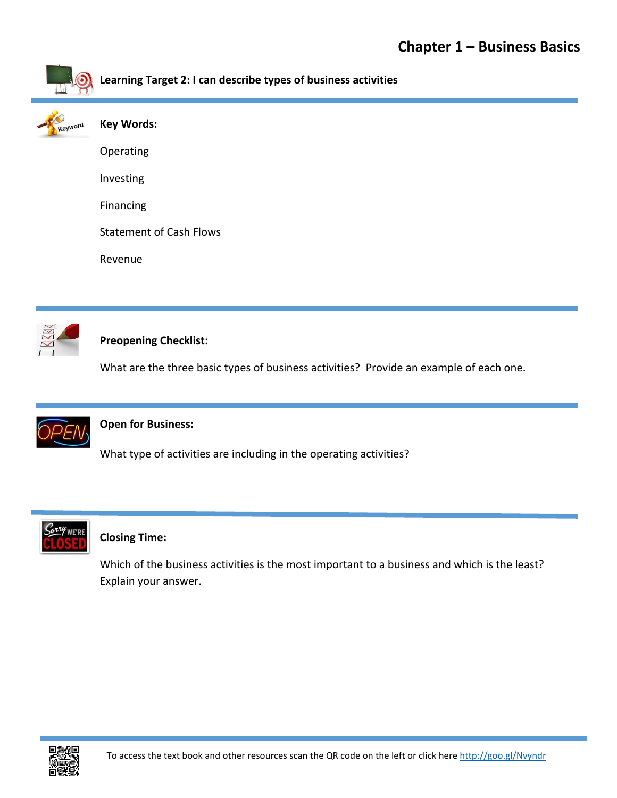



## **Preopening Checklist:**

What are the three basic types of business activities? Provide an example of each one.



## **Open for Business:**

What type of activities are including in the operating activities?



## **Closing Time:**

Which of the business activities is the most important to a business and which is the least? Explain your answer.

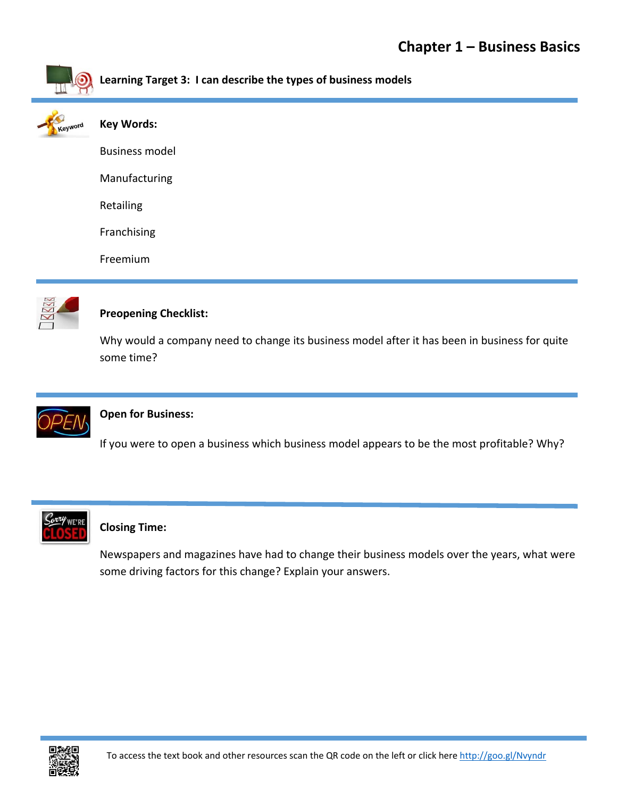

**Learning Target 3: I can describe the types of business models** 



| <b>Key Words:</b>     |  |
|-----------------------|--|
| <b>Business model</b> |  |
| Manufacturing         |  |
| Retailing             |  |
| Franchising           |  |
| Freemium              |  |



## **Preopening Checklist:**

Why would a company need to change its business model after it has been in business for quite some time?



## **Open for Business:**

If you were to open a business which business model appears to be the most profitable? Why?



### **Closing Time:**

Newspapers and magazines have had to change their business models over the years, what were some driving factors for this change? Explain your answers.

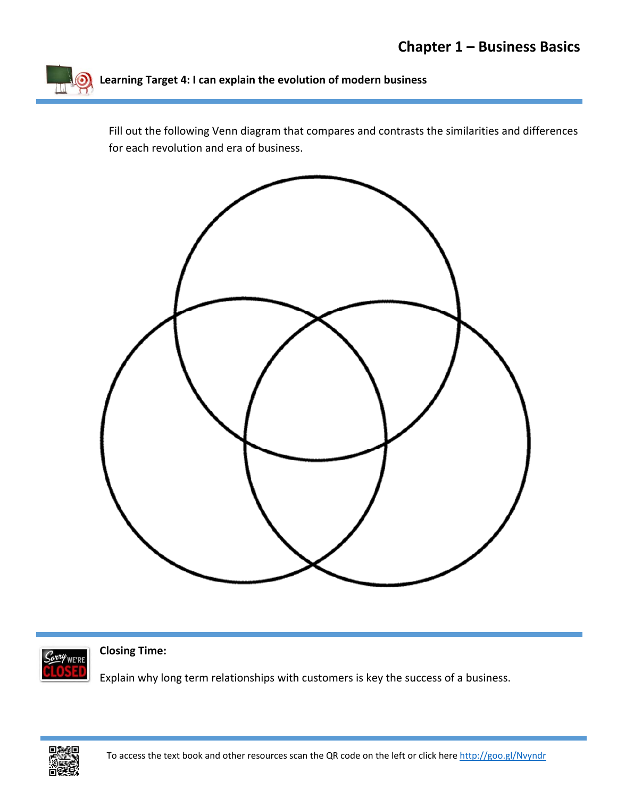

Fill out the following Venn diagram that compares and contrasts the similarities and differences for each revolution and era of business.





**Closing Time:** 

Explain why long term relationships with customers is key the success of a business.

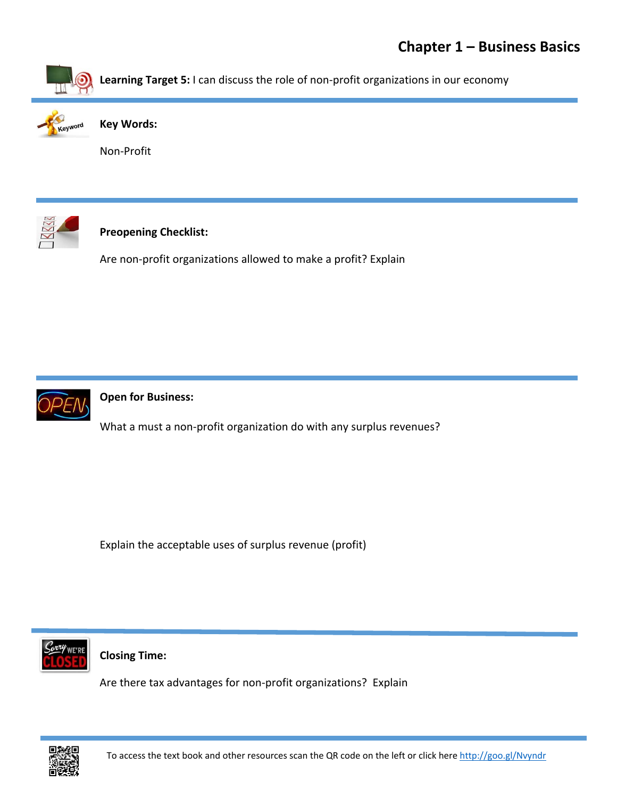

**Learning Target 5:** I can discuss the role of non‐profit organizations in our economy



**Key Words:**

Non‐Profit



# **Preopening Checklist:**

Are non‐profit organizations allowed to make a profit? Explain



## **Open for Business:**

What a must a non-profit organization do with any surplus revenues?

Explain the acceptable uses of surplus revenue (profit)



### **Closing Time:**

Are there tax advantages for non‐profit organizations? Explain

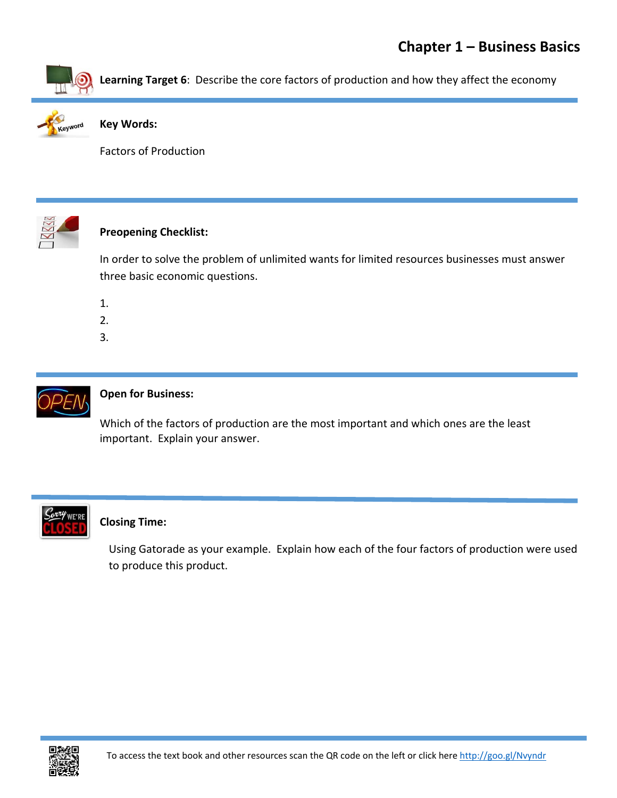



#### **Key Words:**

Factors of Production



### **Preopening Checklist:**

In order to solve the problem of unlimited wants for limited resources businesses must answer three basic economic questions.

- 1.
- 2.
- 3.



## **Open for Business:**

Which of the factors of production are the most important and which ones are the least important. Explain your answer.



### **Closing Time:**

Using Gatorade as your example. Explain how each of the four factors of production were used to produce this product.

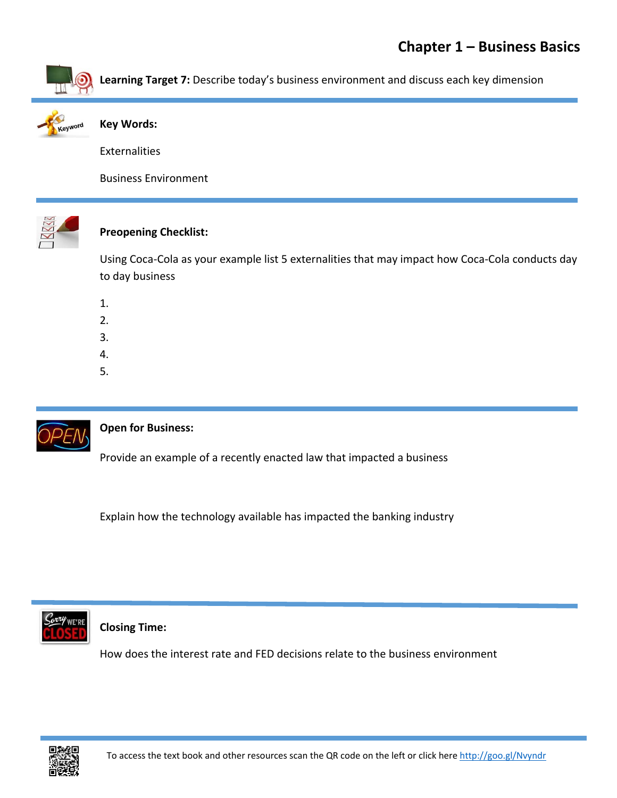

**Learning Target 7:** Describe today's business environment and discuss each key dimension



### **Key Words:**

**Externalities** 

Business Environment



# **Preopening Checklist:**

Using Coca‐Cola as your example list 5 externalities that may impact how Coca‐Cola conducts day to day business

- 1.
- 2.
- 3.
- 4.
- 5.



## **Open for Business:**

Provide an example of a recently enacted law that impacted a business

Explain how the technology available has impacted the banking industry



## **Closing Time:**

How does the interest rate and FED decisions relate to the business environment